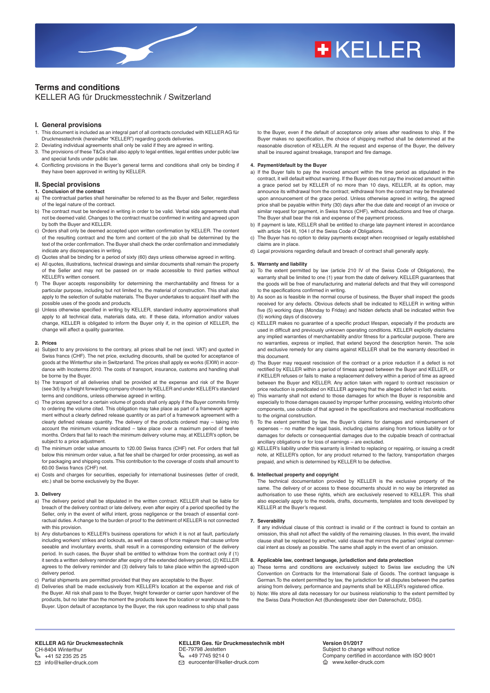# **+KELLER**

# **Terms and conditions**

# KELLER AG für Druckmesstechnik / Switzerland

- **I. General provisions**
- 1. This document is included as an integral part of all contracts concluded with KELLER AG für Druckmesstechnik (hereinafter "KELLER") regarding goods deliveries.
- 2. Deviating individual agreements shall only be valid if they are agreed in writing.
- The provisions of these T&Cs shall also apply to legal entities, legal entities under public law and special funds under public law.
- 4. Conflicting provisions in the Buyer's general terms and conditions shall only be binding if they have been approved in writing by KELLER.

# **II. Special provisions**

- **1. Conclusion of the contract**
- a) The contractual parties shall hereinafter be referred to as the Buyer and Seller, regardless of the legal nature of the contract.
- b) The contract must be tendered in writing in order to be valid. Verbal side agreements shall not be deemed valid. Changes to the contract must be confirmed in writing and agreed upon by both the Buyer and KELLER.
- c) Orders shall only be deemed accepted upon written confirmation by KELLER. The content of the resulting contract and the form and content of the job shall be determined by the text of the order confirmation. The Buyer shall check the order confirmation and immediately indicate any discrepancies in writing.
- d) Quotes shall be binding for a period of sixty (60) days unless otherwise agreed in writing.
- e) All quotes, illustrations, technical drawings and similar documents shall remain the property of the Seller and may not be passed on or made accessible to third parties without KELLER's written consent.
- f) The Buyer accepts responsibility for determining the merchantability and fitness for a particular purpose, including but not limited to, the material of construction. This shall also apply to the selection of suitable materials. The Buyer undertakes to acquaint itself with the possible uses of the goods and products.
- g) Unless otherwise specified in writing by KELLER, standard industry approximations shall apply to all technical data, materials data, etc. If these data, information and/or values change, KELLER is obligated to inform the Buyer only if, in the opinion of KELLER, the change will affect a quality guarantee.

## **2. Prices**

- a) Subject to any provisions to the contrary, all prices shall be net (excl. VAT) and quoted in Swiss francs (CHF). The net price, excluding discounts, shall be quoted for acceptance of goods at the Winterthur site in Switzerland. The prices shall apply ex works (EXW) in accordance with Incoterms 2010. The costs of transport, insurance, customs and handling shall be borne by the Buyer.
- b) The transport of all deliveries shall be provided at the expense and risk of the Buyer (see 3d) by a freight forwarding company chosen by KELLER and under KELLER's standard terms and conditions, unless otherwise agreed in writing.
- c) The prices agreed for a certain volume of goods shall only apply if the Buyer commits firmly to ordering the volume cited. This obligation may take place as part of a framework agreement without a clearly defined release quantity or as part of a framework agreement with a clearly defined release quantity. The delivery of the products ordered may – taking into account the minimum volume indicated – take place over a maximum period of twelve months. Orders that fail to reach the minimum delivery volume may, at KELLER's option, be subject to a price adjustment.
- d) The minimum order value amounts to 120.00 Swiss francs (CHF) net. For orders that fall below this minimum order value, a flat fee shall be charged for order processing, as well as for packaging and shipping costs. This contribution to the coverage of costs shall amount to 60.00 Swiss francs (CHF) net.
- e) Costs and charges for securities, especially for international businesses (letter of credit, etc.) shall be borne exclusively by the Buyer.

### **3. Delivery**

- a) The delivery period shall be stipulated in the written contract. KELLER shall be liable for breach of the delivery contract or late delivery, even after expiry of a period specified by the Seller, only in the event of wilful intent, gross negligence or the breach of essential contractual duties. A change to the burden of proof to the detriment of KELLER is not connected with this provision.
- b) Any disturbances to KELLER's business operations for which it is not at fault, particularly including workers' strikes and lockouts, as well as cases of force majeure that cause unfore seeable and involuntary events, shall result in a corresponding extension of the delivery period. In such cases, the Buyer shall be entitled to withdraw from the contract only if (1) it sends a written delivery reminder after expiry of the extended delivery period, (2) KELLER agrees to the delivery reminder and (3) delivery fails to take place within the agreed-upon delivery period.
- c) Partial shipments are permitted provided that they are acceptable to the Buyer.
- d) Deliveries shall be made exclusively from KELLER's location at the expense and risk of the Buyer. All risk shall pass to the Buyer, freight forwarder or carrier upon handover of the products, but no later than the moment the products leave the location or warehouse to the Buyer. Unon default of acceptance by the Buyer, the risk upon readiness to ship shall pass

to the Buyer, even if the default of acceptance only arises after readiness to ship. If the Buyer makes no specification, the choice of shipping method shall be determined at the reasonable discretion of KELLER. At the request and expense of the Buyer, the delivery shall be insured against breakage, transport and fire damage.

# **4. Payment/default by the Buyer**

- a) If the Buyer fails to pay the invoiced amount within the time period as stipulated in the contract, it will default without warning. If the Buyer does not pay the invoiced amount within a grace period set by KELLER of no more than 10 days, KELLER, at its option, may announce its withdrawal from the contract; withdrawal from the contract may be threatened upon announcement of the grace period. Unless otherwise agreed in writing, the agreed price shall be payable within thirty (30) days after the due date and receipt of an invoice or similar request for payment, in Swiss francs (CHF), without deductions and free of charge. The Buyer shall bear the risk and expense of the payment process.
- b) If payment is late, KELLER shall be entitled to charge late payment interest in accordance with article 104 III, 104 I of the Swiss Code of Obligations.
- c) The Buyer has no option to delay payments except when recognised or legally established claims are in place.
- d) Legal provisions regarding default and breach of contract shall generally apply.

# **5. Warranty and liability**

- a) To the extent permitted by law (article 210 IV of the Swiss Code of Obligations), the warranty shall be limited to one (1) year from the date of delivery. KELLER guarantees that the goods will be free of manufacturing and material defects and that they will correspond to the specifications confirmed in writing.
- b) As soon as is feasible in the normal course of business, the Buyer shall inspect the goods received for any defects. Obvious defects shall be indicated to KELLER in writing within five (5) working days (Monday to Friday) and hidden defects shall be indicated within five (5) working days of discovery.
- c) KELLER makes no guarantee of a specific product lifespan, especially if the products are used in difficult and previously unknown operating conditions. KELLER explicitly disclaims any implied warranties of merchantability and/or fitness for a particular purpose. There are no warranties, express or implied, that extend beyond the description herein. The sole and exclusive remedy for any claims against KELLER shall be the warranty described in this document.
- d) The Buyer may request rescission of the contract or a price reduction if a defect is not rectified by KELLER within a period of timeas agreed between the Buyer and KELLER, or if KELLER refuses or fails to make a replacement delivery within a period of time as agreed between the Buyer and KELLER. Any action taken with regard to contract rescission or price reduction is predicated on KELLER agreeing that the alleged defect in fact exists.
- e) This warranty shall not extend to those damages for which the Buyer is responsible and especially to those damages caused by improper further processing, welding into/onto other components, use outside of that agreed in the specifications and mechanical modifications to the original construction.
- To the extent permitted by law, the Buyer's claims for damages and reimbursement of expenses – no matter the legal basis, including claims arising from tortious liability or for damages for defects or consequential damages due to the culpable breach of contractual ancillary obligations or for loss of earnings – are excluded.
- g) KELLER's liability under this warranty is limited to replacing or repairing, or issuing a credit note, at KELLER's option, for any product returned to the factory, transportation charges prepaid, and which is determined by KELLER to be defective.

### **6. Intellectual property and copyright**

The technical documentation provided by KELLER is the exclusive property of the same. The delivery of or access to these documents should in no way be interpreted as authorisation to use these rights, which are exclusively reserved to KELLER. This shall also especially apply to the models, drafts, documents, templates and tools developed by KELLER at the Buyer's request.

### **7. Severability**

If any individual clause of this contract is invalid or if the contract is found to contain an omission, this shall not affect the validity of the remaining clauses. In this event, the invalid clause shall be replaced by another, valid clause that mirrors the parties' original commercial intent as closely as possible. The same shall apply in the event of an omission.

## **8. Applicable law, contract language, jurisdiction and data protection**

- a) These terms and conditions are exclusively subject to Swiss law excluding the UN Convention on Contracts for the International Sale of Goods. The contract language is German.To the extent permitted by law, the jurisdiction for all disputes between the parties arising from delivery, performance and payments shall be KELLER's registered office.
- b) Note: We store all data necessary for our business relationship to the extent permitted by the Swiss Data Protection Act (Bundesgesetz über den Datenschutz, DSG).

**KELLER AG für Druckmesstechnik** CH-8404 Winterthur +41 52 235 25 25 info@keller-druck.com

**KELLER Ges. für Druckmesstechnik mbH** DE-79798 Jestetten +49 7745 9214 0  $\heartsuit$  eurocenter@keller-druck.com

**Version 01/2017** Subject to change without notice Company certified in accordance with ISO 9001 www.keller-druck.com